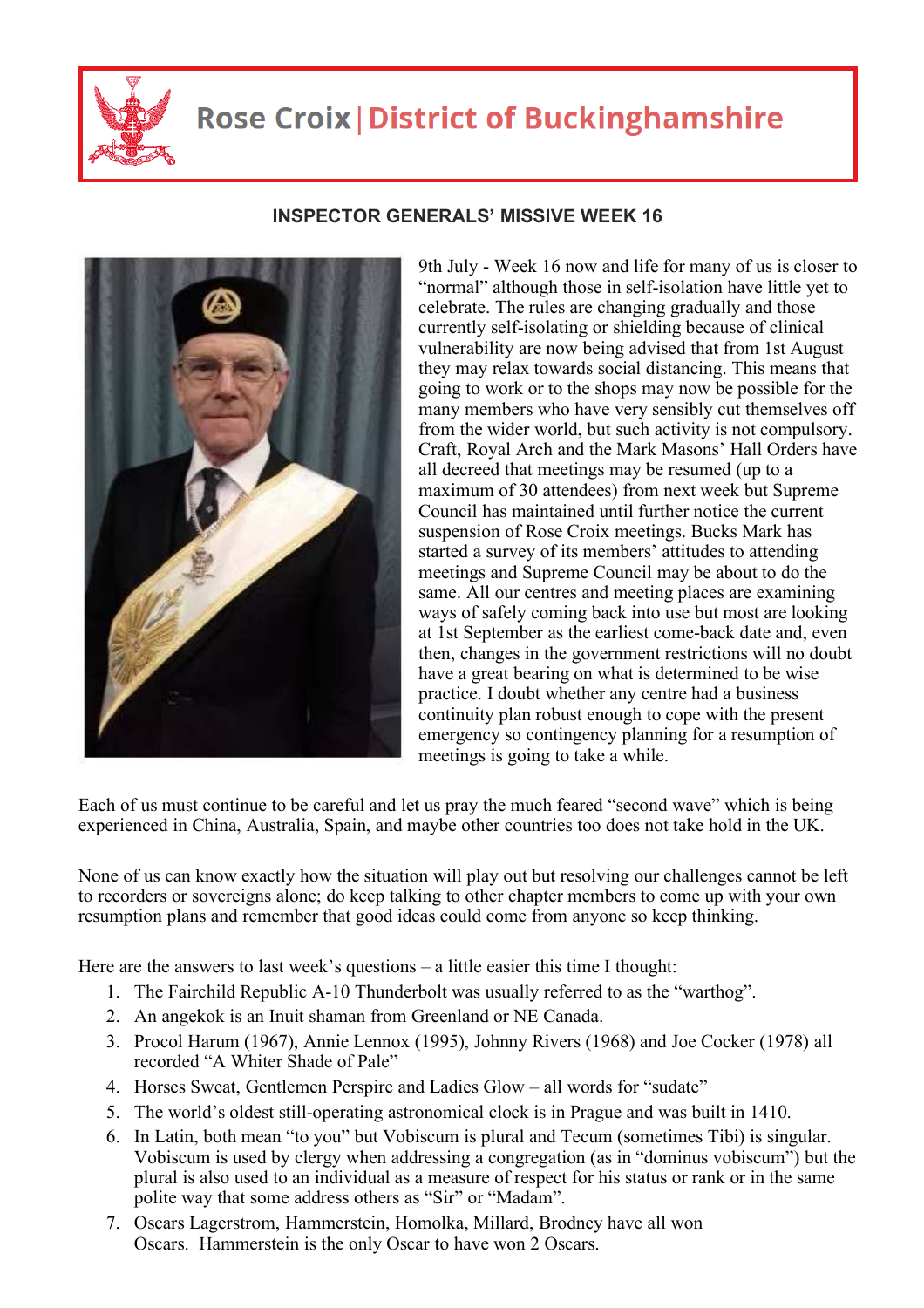

## **Rose Croix | District of Buckinghamshire**

## **INSPECTOR GENERALS' MISSIVE WEEK 16**

9th July - Week 16 now and life for many of us is closer to "normal" although those in self-isolation have little yet to celebrate. The rules are changing gradually and those currently self-isolating or shielding because of clinical vulnerability are now being advised that from 1st August they may relax towards social distancing. This means that going to work or to the shops may now be possible for the many members who have very sensibly cut themselves off from the wider world, but such activity is not compulsory. Craft, Royal Arch and the Mark Masons' Hall Orders have all decreed that meetings may be resumed (up to a maximum of 30 attendees) from next week but Supreme Council has maintained until further notice the current suspension of Rose Croix meetings. Bucks Mark has started a survey of its members' attitudes to attending meetings and Supreme Council may be about to do the same. All our centres and meeting places are examining ways of safely coming back into use but most are looking at 1st September as the earliest come-back date and, even then, changes in the government restrictions will no doubt have a great bearing on what is determined to be wise practice. I doubt whether any centre had a business continuity plan robust enough to cope with the present emergency so contingency planning for a resumption of meetings is going to take a while.

Each of us must continue to be careful and let us pray the much feared "second wave" which is being experienced in China, Australia, Spain, and maybe other countries too does not take hold in the UK.

None of us can know exactly how the situation will play out but resolving our challenges cannot be left to recorders or sovereigns alone; do keep talking to other chapter members to come up with your own resumption plans and remember that good ideas could come from anyone so keep thinking.

Here are the answers to last week's questions – a little easier this time I thought:

- 1. The Fairchild Republic A-10 Thunderbolt was usually referred to as the "warthog".
- 2. An angekok is an Inuit shaman from Greenland or NE Canada.
- 3. Procol Harum (1967), Annie Lennox (1995), Johnny Rivers (1968) and Joe Cocker (1978) all recorded "A Whiter Shade of Pale"
- 4. Horses Sweat, Gentlemen Perspire and Ladies Glow all words for "sudate"
- 5. The world's oldest still-operating astronomical clock is in Prague and was built in 1410.
- 6. In Latin, both mean "to you" but Vobiscum is plural and Tecum (sometimes Tibi) is singular. Vobiscum is used by clergy when addressing a congregation (as in "dominus vobiscum") but the plural is also used to an individual as a measure of respect for his status or rank or in the same polite way that some address others as "Sir" or "Madam".
- 7. Oscars Lagerstrom, Hammerstein, Homolka, Millard, Brodney have all won Oscars. Hammerstein is the only Oscar to have won 2 Oscars.